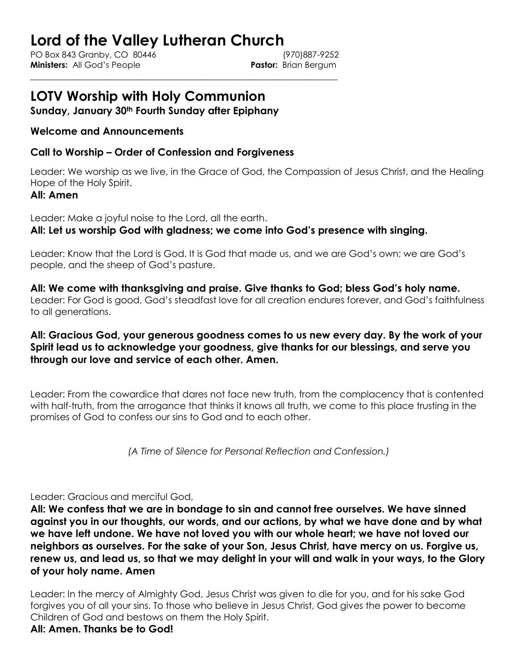# **Lord of the Valley Lutheran Church**

\_\_\_\_\_\_\_\_\_\_\_\_\_\_\_\_\_\_\_\_\_\_\_\_\_\_\_\_\_\_\_\_\_\_\_\_\_\_\_\_\_\_\_\_\_\_\_\_\_\_\_\_\_\_\_\_\_\_\_\_\_\_\_\_\_\_

PO Box 843 Granby, CO 80446 (970)887-9252 **Ministers:** All God's People **Pastor:** Brian Bergum

# **LOTV Worship with Holy Communion Sunday, January 30th Fourth Sunday after Epiphany**

### **Welcome and Announcements**

## **Call to Worship – Order of Confession and Forgiveness**

Leader: We worship as we live, in the Grace of God, the Compassion of Jesus Christ, and the Healing Hope of the Holy Spirit.

#### **All: Amen**

Leader: Make a joyful noise to the Lord, all the earth. **All: Let us worship God with gladness; we come into God's presence with singing.** 

Leader: Know that the Lord is God. It is God that made us, and we are God's own; we are God's people, and the sheep of God's pasture.

**All: We come with thanksgiving and praise. Give thanks to God; bless God's holy name.**  Leader: For God is good, God's steadfast love for all creation endures forever, and God's faithfulness to all generations.

# **All: Gracious God, your generous goodness comes to us new every day. By the work of your Spirit lead us to acknowledge your goodness, give thanks for our blessings, and serve you through our love and service of each other. Amen.**

Leader: From the cowardice that dares not face new truth, from the complacency that is contented with half-truth, from the arrogance that thinks it knows all truth, we come to this place trusting in the promises of God to confess our sins to God and to each other.

*(A Time of Silence for Personal Reflection and Confession.)*

#### Leader: Gracious and merciful God,

**All: We confess that we are in bondage to sin and cannot free ourselves. We have sinned against you in our thoughts, our words, and our actions, by what we have done and by what we have left undone. We have not loved you with our whole heart; we have not loved our neighbors as ourselves. For the sake of your Son, Jesus Christ, have mercy on us. Forgive us, renew us, and lead us, so that we may delight in your will and walk in your ways, to the Glory of your holy name. Amen**

Leader: In the mercy of Almighty God, Jesus Christ was given to die for you, and for his sake God forgives you of all your sins. To those who believe in Jesus Christ, God gives the power to become Children of God and bestows on them the Holy Spirit.

## **All: Amen. Thanks be to God!**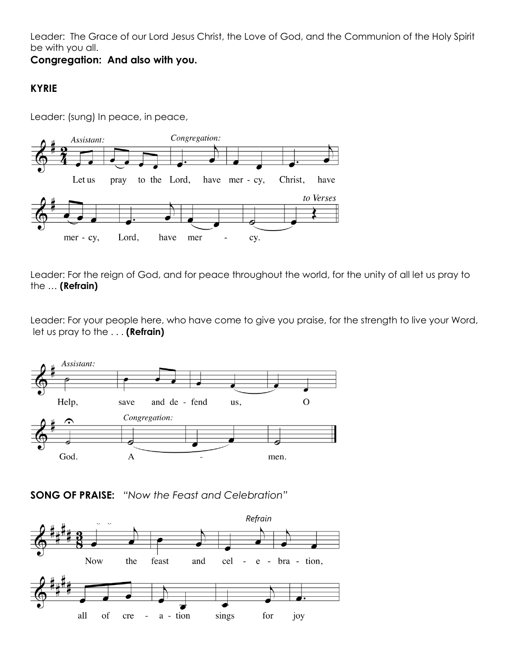Leader: The Grace of our Lord Jesus Christ, the Love of God, and the Communion of the Holy Spirit be with you all.

**Congregation: And also with you.**

# **KYRIE**

Leader: (sung) In peace, in peace,



Leader: For the reign of God, and for peace throughout the world, for the unity of all let us pray to the … **(Refrain)**

Leader: For your people here, who have come to give you praise, for the strength to live your Word, let us pray to the . . . **(Refrain)**



**SONG OF PRAISE:** *"Now the Feast and Celebration"*

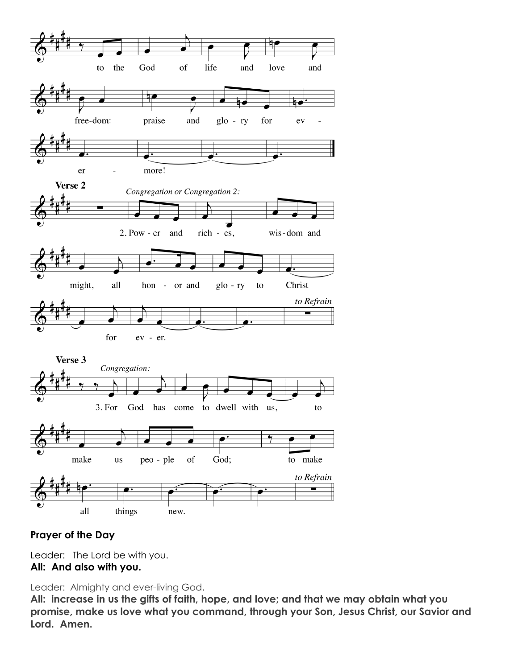

# **Prayer of the Day**

Leader: The Lord be with you. **All: And also with you.**

Leader: Almighty and ever-living God,

**All: increase in us the gifts of faith, hope, and love; and that we may obtain what you promise, make us love what you command, through your Son, Jesus Christ, our Savior and Lord. Amen.**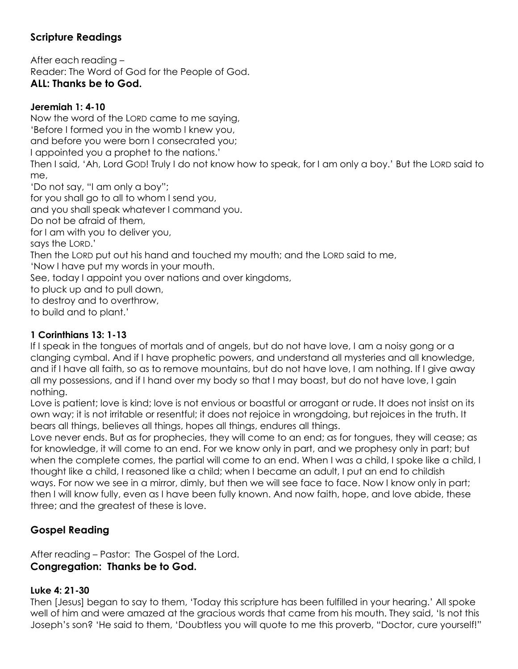# **Scripture Readings**

After each reading – Reader: The Word of God for the People of God.

# **ALL: Thanks be to God.**

# **Jeremiah 1: 4-10**

Now the word of the LORD came to me saying, 'Before I formed you in the womb I knew you, and before you were born I consecrated you; I appointed you a prophet to the nations.' Then I said, 'Ah, Lord GOD! Truly I do not know how to speak, for I am only a boy.' But the LORD said to me, 'Do not say, "I am only a boy"; for you shall go to all to whom I send you, and you shall speak whatever I command you. Do not be afraid of them, for I am with you to deliver you, says the LORD.' Then the LORD put out his hand and touched my mouth; and the LORD said to me, 'Now I have put my words in your mouth. See, today I appoint you over nations and over kingdoms, to pluck up and to pull down, to destroy and to overthrow, to build and to plant.'

# **1 Corinthians 13: 1-13**

If I speak in the tongues of mortals and of angels, but do not have love, I am a noisy gong or a clanging cymbal. And if I have prophetic powers, and understand all mysteries and all knowledge, and if I have all faith, so as to remove mountains, but do not have love, I am nothing. If I give away all my possessions, and if I hand over my body so that I may boast, but do not have love, I gain nothing.

Love is patient; love is kind; love is not envious or boastful or arrogant or rude. It does not insist on its own way; it is not irritable or resentful; it does not rejoice in wrongdoing, but rejoices in the truth. It bears all things, believes all things, hopes all things, endures all things.

Love never ends. But as for prophecies, they will come to an end; as for tongues, they will cease; as for knowledge, it will come to an end. For we know only in part, and we prophesy only in part; but when the complete comes, the partial will come to an end. When I was a child, I spoke like a child, I thought like a child, I reasoned like a child; when I became an adult, I put an end to childish ways. For now we see in a mirror, dimly, but then we will see face to face. Now I know only in part; then I will know fully, even as I have been fully known. And now faith, hope, and love abide, these three; and the greatest of these is love.

# **Gospel Reading**

After reading – Pastor: The Gospel of the Lord. **Congregation: Thanks be to God.**

# **Luke 4: 21-30**

Then [Jesus] began to say to them, 'Today this scripture has been fulfilled in your hearing.' All spoke well of him and were amazed at the gracious words that came from his mouth. They said, 'Is not this Joseph's son? 'He said to them, 'Doubtless you will quote to me this proverb, "Doctor, cure yourself!"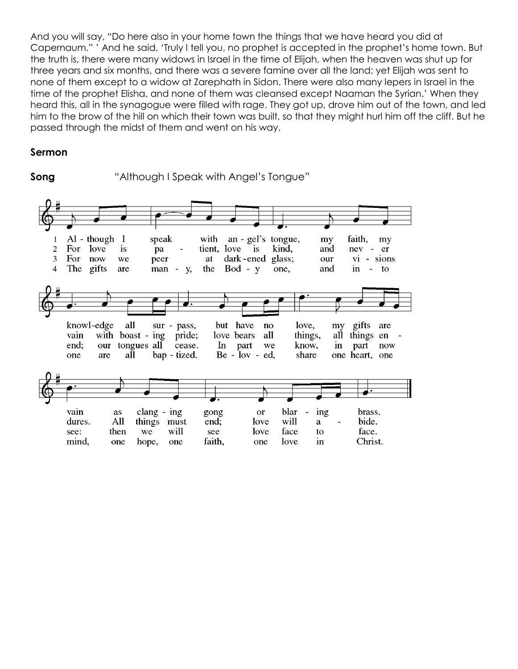And you will say, "Do here also in your home town the things that we have heard you did at Capernaum." ' And he said, 'Truly I tell you, no prophet is accepted in the prophet's home town. But the truth is, there were many widows in Israel in the time of Elijah, when the heaven was shut up for three years and six months, and there was a severe famine over all the land; yet Elijah was sent to none of them except to a widow at Zarephath in Sidon. There were also many lepers in Israel in the time of the prophet Elisha, and none of them was cleansed except Naaman the Syrian.' When they heard this, all in the synagogue were filled with rage. They got up, drove him out of the town, and led him to the brow of the hill on which their town was built, so that they might hurl him off the cliff. But he passed through the midst of them and went on his way.

## **Sermon**

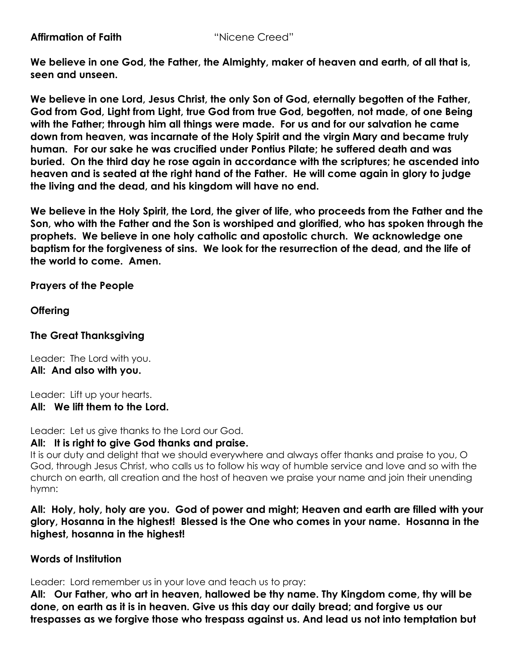**We believe in one God, the Father, the Almighty, maker of heaven and earth, of all that is, seen and unseen.**

**We believe in one Lord, Jesus Christ, the only Son of God, eternally begotten of the Father, God from God, Light from Light, true God from true God, begotten, not made, of one Being with the Father; through him all things were made. For us and for our salvation he came down from heaven, was incarnate of the Holy Spirit and the virgin Mary and became truly human. For our sake he was crucified under Pontius Pilate; he suffered death and was buried. On the third day he rose again in accordance with the scriptures; he ascended into heaven and is seated at the right hand of the Father. He will come again in glory to judge the living and the dead, and his kingdom will have no end.**

**We believe in the Holy Spirit, the Lord, the giver of life, who proceeds from the Father and the Son, who with the Father and the Son is worshiped and glorified, who has spoken through the prophets. We believe in one holy catholic and apostolic church. We acknowledge one baptism for the forgiveness of sins. We look for the resurrection of the dead, and the life of the world to come. Amen.**

**Prayers of the People**

**Offering**

# **The Great Thanksgiving**

Leader: The Lord with you. **All: And also with you.**

Leader: Lift up your hearts. **All: We lift them to the Lord.**

Leader: Let us give thanks to the Lord our God.

## **All: It is right to give God thanks and praise.**

It is our duty and delight that we should everywhere and always offer thanks and praise to you, O God, through Jesus Christ, who calls us to follow his way of humble service and love and so with the church on earth, all creation and the host of heaven we praise your name and join their unending hymn:

**All: Holy, holy, holy are you. God of power and might; Heaven and earth are filled with your glory, Hosanna in the highest! Blessed is the One who comes in your name. Hosanna in the highest, hosanna in the highest!**

# **Words of Institution**

Leader: Lord remember us in your love and teach us to pray:

**All: Our Father, who art in heaven, hallowed be thy name. Thy Kingdom come, thy will be done, on earth as it is in heaven. Give us this day our daily bread; and forgive us our trespasses as we forgive those who trespass against us. And lead us not into temptation but**